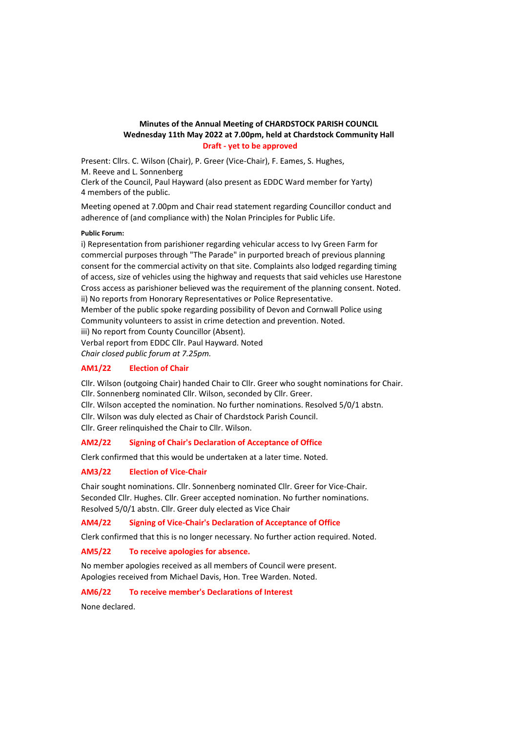# **Minutes of the Annual Meeting of CHARDSTOCK PARISH COUNCIL Wednesday 11th May 2022 at 7.00pm, held at Chardstock Community Hall Draft - yet to be approved**

Present: Cllrs. C. Wilson (Chair), P. Greer (Vice-Chair), F. Eames, S. Hughes, M. Reeve and L. Sonnenberg

Clerk of the Council, Paul Hayward (also present as EDDC Ward member for Yarty) 4 members of the public.

Meeting opened at 7.00pm and Chair read statement regarding Councillor conduct and adherence of (and compliance with) the Nolan Principles for Public Life.

#### **Public Forum:**

i) Representation from parishioner regarding vehicular access to Ivy Green Farm for commercial purposes through "The Parade" in purported breach of previous planning consent for the commercial activity on that site. Complaints also lodged regarding timing of access, size of vehicles using the highway and requests that said vehicles use Harestone Cross access as parishioner believed was the requirement of the planning consent. Noted. ii) No reports from Honorary Representatives or Police Representative. Member of the public spoke regarding possibility of Devon and Cornwall Police using

Community volunteers to assist in crime detection and prevention. Noted.

iii) No report from County Councillor (Absent).

Verbal report from EDDC Cllr. Paul Hayward. Noted *Chair closed public forum at 7.25pm.*

# **AM1/22 Election of Chair**

Cllr. Wilson (outgoing Chair) handed Chair to Cllr. Greer who sought nominations for Chair. Cllr. Sonnenberg nominated Cllr. Wilson, seconded by Cllr. Greer.

Cllr. Wilson accepted the nomination. No further nominations. Resolved 5/0/1 abstn.

Cllr. Wilson was duly elected as Chair of Chardstock Parish Council.

Cllr. Greer relinquished the Chair to Cllr. Wilson.

# **AM2/22 Signing of Chair's Declaration of Acceptance of Office**

Clerk confirmed that this would be undertaken at a later time. Noted.

# **AM3/22 Election of Vice-Chair**

Chair sought nominations. Cllr. Sonnenberg nominated Cllr. Greer for Vice-Chair. Seconded Cllr. Hughes. Cllr. Greer accepted nomination. No further nominations. Resolved 5/0/1 abstn. Cllr. Greer duly elected as Vice Chair

# **AM4/22 Signing of Vice-Chair's Declaration of Acceptance of Office**

Clerk confirmed that this is no longer necessary. No further action required. Noted.

# **AM5/22 To receive apologies for absence.**

No member apologies received as all members of Council were present. Apologies received from Michael Davis, Hon. Tree Warden. Noted.

# **AM6/22 To receive member's Declarations of Interest**

None declared.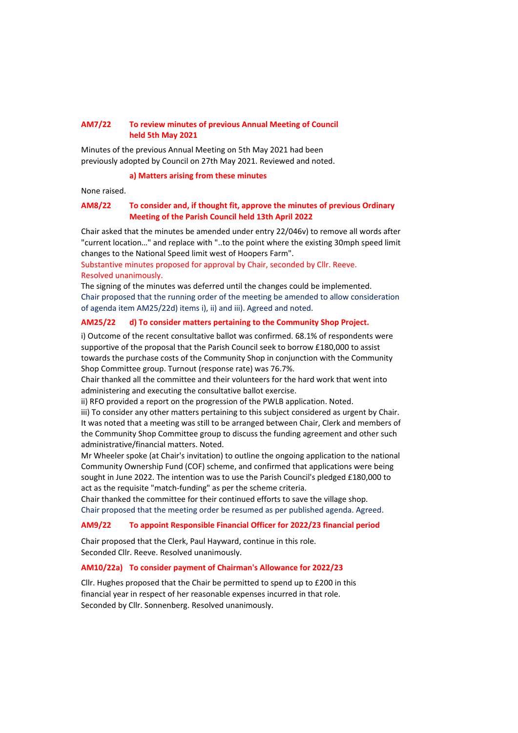# **AM7/22 To review minutes of previous Annual Meeting of Council held 5th May 2021**

Minutes of the previous Annual Meeting on 5th May 2021 had been previously adopted by Council on 27th May 2021. Reviewed and noted.

#### **a) Matters arising from these minutes**

None raised.

# **AM8/22 To consider and, if thought fit, approve the minutes of previous Ordinary Meeting of the Parish Council held 13th April 2022**

Chair asked that the minutes be amended under entry 22/046v) to remove all words after "current location…" and replace with "..to the point where the existing 30mph speed limit changes to the National Speed limit west of Hoopers Farm".

Substantive minutes proposed for approval by Chair, seconded by Cllr. Reeve. Resolved unanimously.

The signing of the minutes was deferred until the changes could be implemented. Chair proposed that the running order of the meeting be amended to allow consideration of agenda item AM25/22d) items i), ii) and iii). Agreed and noted.

## **AM25/22 d) To consider matters pertaining to the Community Shop Project.**

i) Outcome of the recent consultative ballot was confirmed. 68.1% of respondents were supportive of the proposal that the Parish Council seek to borrow £180,000 to assist towards the purchase costs of the Community Shop in conjunction with the Community Shop Committee group. Turnout (response rate) was 76.7%.

Chair thanked all the committee and their volunteers for the hard work that went into administering and executing the consultative ballot exercise.

ii) RFO provided a report on the progression of the PWLB application. Noted.

iii) To consider any other matters pertaining to this subject considered as urgent by Chair. It was noted that a meeting was still to be arranged between Chair, Clerk and members of the Community Shop Committee group to discuss the funding agreement and other such administrative/financial matters. Noted.

Mr Wheeler spoke (at Chair's invitation) to outline the ongoing application to the national Community Ownership Fund (COF) scheme, and confirmed that applications were being sought in June 2022. The intention was to use the Parish Council's pledged £180,000 to act as the requisite "match-funding" as per the scheme criteria.

Chair thanked the committee for their continued efforts to save the village shop. Chair proposed that the meeting order be resumed as per published agenda. Agreed.

### **AM9/22 To appoint Responsible Financial Officer for 2022/23 financial period**

Chair proposed that the Clerk, Paul Hayward, continue in this role. Seconded Cllr. Reeve. Resolved unanimously.

## **AM10/22a) To consider payment of Chairman's Allowance for 2022/23**

Cllr. Hughes proposed that the Chair be permitted to spend up to £200 in this financial year in respect of her reasonable expenses incurred in that role. Seconded by Cllr. Sonnenberg. Resolved unanimously.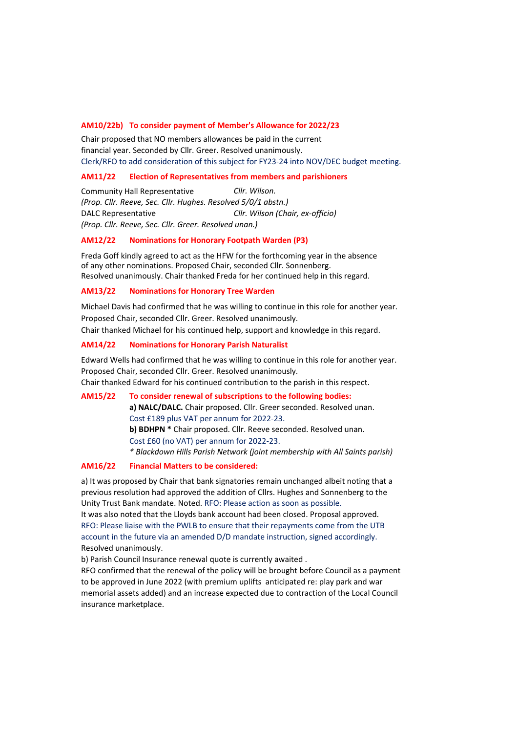### **AM10/22b) To consider payment of Member's Allowance for 2022/23**

Chair proposed that NO members allowances be paid in the current financial year. Seconded by Cllr. Greer. Resolved unanimously. Clerk/RFO to add consideration of this subject for FY23-24 into NOV/DEC budget meeting.

#### **AM11/22 Election of Representatives from members and parishioners**

Community Hall Representative *Cllr. Wilson. (Prop. Cllr. Reeve, Sec. Cllr. Hughes. Resolved 5/0/1 abstn.)* DALC Representative *Cllr. Wilson (Chair, ex-officio) (Prop. Cllr. Reeve, Sec. Cllr. Greer. Resolved unan.)*

### **AM12/22 Nominations for Honorary Footpath Warden (P3)**

Freda Goff kindly agreed to act as the HFW for the forthcoming year in the absence of any other nominations. Proposed Chair, seconded Cllr. Sonnenberg. Resolved unanimously. Chair thanked Freda for her continued help in this regard.

### **AM13/22 Nominations for Honorary Tree Warden**

Michael Davis had confirmed that he was willing to continue in this role for another year. Proposed Chair, seconded Cllr. Greer. Resolved unanimously.

Chair thanked Michael for his continued help, support and knowledge in this regard.

#### **AM14/22 Nominations for Honorary Parish Naturalist**

Edward Wells had confirmed that he was willing to continue in this role for another year. Proposed Chair, seconded Cllr. Greer. Resolved unanimously. Chair thanked Edward for his continued contribution to the parish in this respect.

**AM15/22 To consider renewal of subscriptions to the following bodies: a) NALC/DALC.** Chair proposed. Cllr. Greer seconded. Resolved unan. Cost £189 plus VAT per annum for 2022-23. **b) BDHPN \*** Chair proposed. Cllr. Reeve seconded. Resolved unan. Cost £60 (no VAT) per annum for 2022-23. *\* Blackdown Hills Parish Network (joint membership with All Saints parish)*

## **AM16/22 Financial Matters to be considered:**

a) It was proposed by Chair that bank signatories remain unchanged albeit noting that a previous resolution had approved the addition of Cllrs. Hughes and Sonnenberg to the Unity Trust Bank mandate. Noted. RFO: Please action as soon as possible.

It was also noted that the Lloyds bank account had been closed. Proposal approved. RFO: Please liaise with the PWLB to ensure that their repayments come from the UTB account in the future via an amended D/D mandate instruction, signed accordingly. Resolved unanimously.

b) Parish Council Insurance renewal quote is currently awaited .

RFO confirmed that the renewal of the policy will be brought before Council as a payment to be approved in June 2022 (with premium uplifts anticipated re: play park and war memorial assets added) and an increase expected due to contraction of the Local Council insurance marketplace.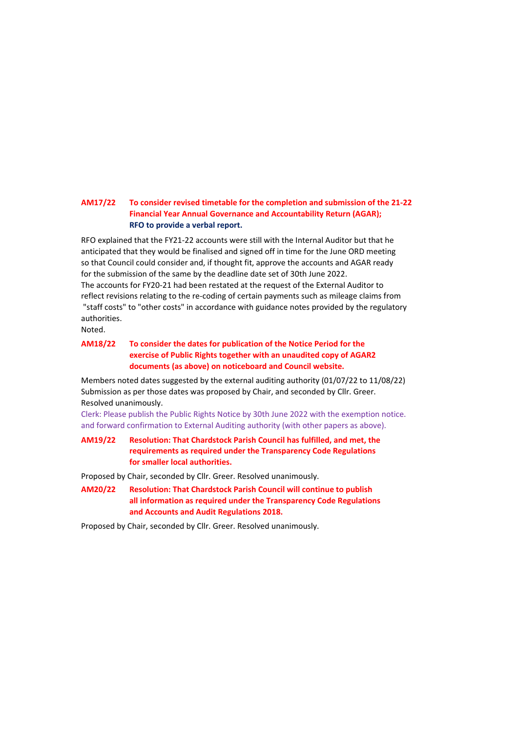# **AM17/22 To consider revised timetable for the completion and submission of the 21-22 Financial Year Annual Governance and Accountability Return (AGAR); RFO to provide a verbal report.**

RFO explained that the FY21-22 accounts were still with the Internal Auditor but that he anticipated that they would be finalised and signed off in time for the June ORD meeting so that Council could consider and, if thought fit, approve the accounts and AGAR ready for the submission of the same by the deadline date set of 30th June 2022. The accounts for FY20-21 had been restated at the request of the External Auditor to reflect revisions relating to the re-coding of certain payments such as mileage claims from "staff costs" to "other costs" in accordance with guidance notes provided by the regulatory authorities.

Noted.

# **AM18/22 To consider the dates for publication of the Notice Period for the exercise of Public Rights together with an unaudited copy of AGAR2 documents (as above) on noticeboard and Council website.**

Members noted dates suggested by the external auditing authority (01/07/22 to 11/08/22) Submission as per those dates was proposed by Chair, and seconded by Cllr. Greer. Resolved unanimously.

Clerk: Please publish the Public Rights Notice by 30th June 2022 with the exemption notice. and forward confirmation to External Auditing authority (with other papers as above).

# **AM19/22 Resolution: That Chardstock Parish Council has fulfilled, and met, the requirements as required under the Transparency Code Regulations for smaller local authorities.**

Proposed by Chair, seconded by Cllr. Greer. Resolved unanimously.

**AM20/22 Resolution: That Chardstock Parish Council will continue to publish all information as required under the Transparency Code Regulations and Accounts and Audit Regulations 2018.**

Proposed by Chair, seconded by Cllr. Greer. Resolved unanimously.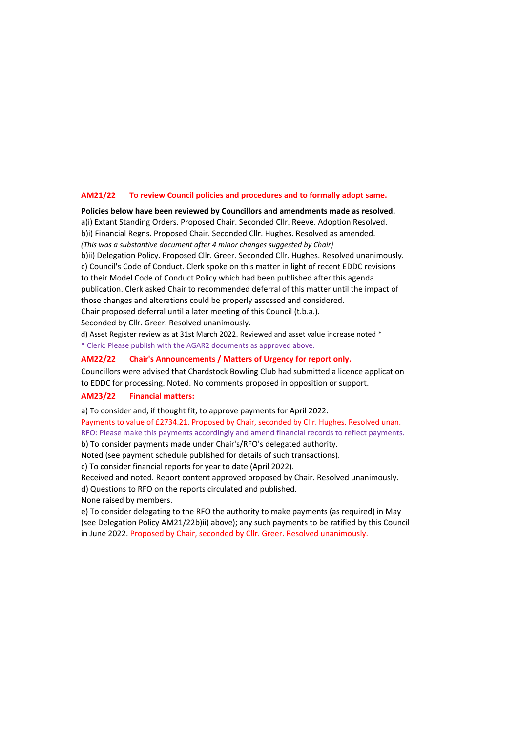## **AM21/22 To review Council policies and procedures and to formally adopt same.**

a)i) Extant Standing Orders. Proposed Chair. Seconded Cllr. Reeve. Adoption Resolved. b)i) Financial Regns. Proposed Chair. Seconded Cllr. Hughes. Resolved as amended. *(This was a substantive document after 4 minor changes suggested by Chair)* **Policies below have been reviewed by Councillors and amendments made as resolved.**

b)ii) Delegation Policy. Proposed Cllr. Greer. Seconded Cllr. Hughes. Resolved unanimously. c) Council's Code of Conduct. Clerk spoke on this matter in light of recent EDDC revisions to their Model Code of Conduct Policy which had been published after this agenda publication. Clerk asked Chair to recommended deferral of this matter until the impact of those changes and alterations could be properly assessed and considered.

Chair proposed deferral until a later meeting of this Council (t.b.a.). Seconded by Cllr. Greer. Resolved unanimously.

d) Asset Register review as at 31st March 2022. Reviewed and asset value increase noted \* \* Clerk: Please publish with the AGAR2 documents as approved above.

## **AM22/22 Chair's Announcements / Matters of Urgency for report only.**

to EDDC for processing. Noted. No comments proposed in opposition or support. Councillors were advised that Chardstock Bowling Club had submitted a licence application

## **AM23/22 Financial matters:**

a) To consider and, if thought fit, to approve payments for April 2022.

Payments to value of £2734.21. Proposed by Chair, seconded by Cllr. Hughes. Resolved unan. RFO: Please make this payments accordingly and amend financial records to reflect payments.

b) To consider payments made under Chair's/RFO's delegated authority.

Noted (see payment schedule published for details of such transactions).

c) To consider financial reports for year to date (April 2022).

Received and noted. Report content approved proposed by Chair. Resolved unanimously.

d) Questions to RFO on the reports circulated and published.

None raised by members.

e) To consider delegating to the RFO the authority to make payments (as required) in May (see Delegation Policy AM21/22b)ii) above); any such payments to be ratified by this Council in June 2022. Proposed by Chair, seconded by Cllr. Greer. Resolved unanimously.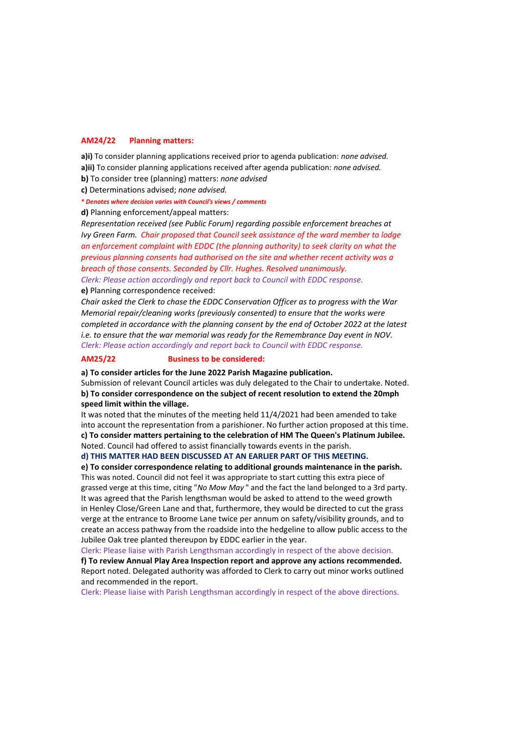#### **AM24/22 Planning matters:**

**a)i)** To consider planning applications received prior to agenda publication: *none advised.* **a)ii)** To consider planning applications received after agenda publication: *none advised.*

**b)** To consider tree (planning) matters: *none advised*

**c)** Determinations advised; *none advised.*

*\* Denotes where decision varies with Council's views / comments*

**d)** Planning enforcement/appeal matters:

*Representation received (see Public Forum) regarding possible enforcement breaches at Ivy Green Farm. Chair proposed that Council seek assistance of the ward member to lodge an enforcement complaint with EDDC (the planning authority) to seek clarity on what the previous planning consents had authorised on the site and whether recent activity was a breach of those consents. Seconded by Cllr. Hughes. Resolved unanimously. Clerk: Please action accordingly and report back to Council with EDDC response.* **e)** Planning correspondence received:

*Chair asked the Clerk to chase the EDDC Conservation Officer as to progress with the War Memorial repair/cleaning works (previously consented) to ensure that the works were completed in accordance with the planning consent by the end of October 2022 at the latest i.e. to ensure that the war memorial was ready for the Remembrance Day event in NOV. Clerk: Please action accordingly and report back to Council with EDDC response.*

#### **AM25/22 Business to be considered:**

**a) To consider articles for the June 2022 Parish Magazine publication.**

Submission of relevant Council articles was duly delegated to the Chair to undertake. Noted. **b) To consider correspondence on the subject of recent resolution to extend the 20mph speed limit within the village.**

It was noted that the minutes of the meeting held 11/4/2021 had been amended to take into account the representation from a parishioner. No further action proposed at this time. **c) To consider matters pertaining to the celebration of HM The Queen's Platinum Jubilee.** Noted. Council had offered to assist financially towards events in the parish.

## **d) THIS MATTER HAD BEEN DISCUSSED AT AN EARLIER PART OF THIS MEETING.**

**e) To consider correspondence relating to additional grounds maintenance in the parish.** This was noted. Council did not feel it was appropriate to start cutting this extra piece of grassed verge at this time, citing "*No Mow May* " and the fact the land belonged to a 3rd party. It was agreed that the Parish lengthsman would be asked to attend to the weed growth in Henley Close/Green Lane and that, furthermore, they would be directed to cut the grass verge at the entrance to Broome Lane twice per annum on safety/visibility grounds, and to create an access pathway from the roadside into the hedgeline to allow public access to the Jubilee Oak tree planted thereupon by EDDC earlier in the year.

Clerk: Please liaise with Parish Lengthsman accordingly in respect of the above decision.

**f) To review Annual Play Area Inspection report and approve any actions recommended.** Report noted. Delegated authority was afforded to Clerk to carry out minor works outlined and recommended in the report.

Clerk: Please liaise with Parish Lengthsman accordingly in respect of the above directions.